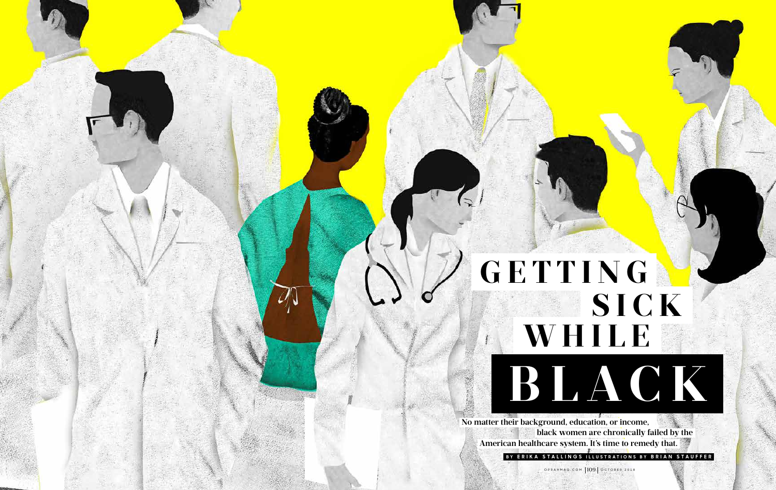**GETTING**

 **No matter their background, education, or income, black women are chronically failed by the. American healthcare system. It's time to remedy that.**  BY ERIKA STALLINGS ILLUSTRATIONS BY BRIAN STAUFFER

# **WHILE SICK**



OPRAHMAG.COM 109 OCTOBER 2018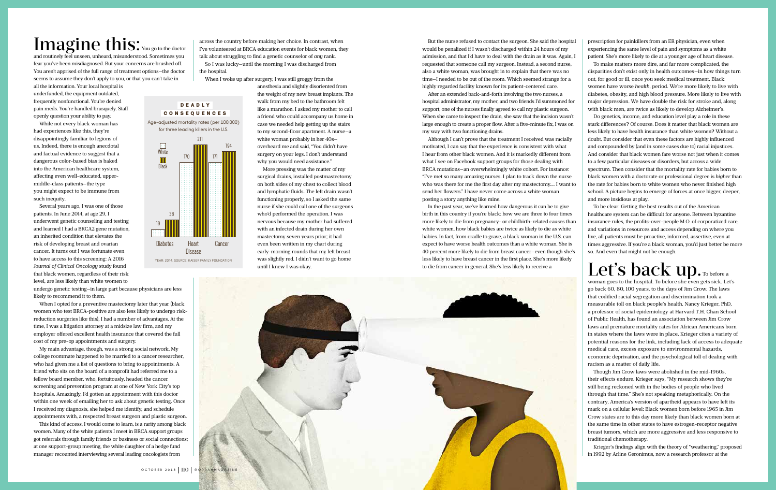across the country before making her choice. In contrast, when I've volunteered at BRCA education events for black women, they talk about struggling to find a genetic counselor of *any* rank.

So I was lucky—until the morning I was discharged from the hospital.

When I woke up after surgery, I was still groggy from the

anesthesia and slightly disoriented from the weight of my new breast implants. The walk from my bed to the bathroom felt like a marathon. I asked my mother to call a friend who could accompany us home in case we needed help getting up the stairs to my second-floor apartment. A nurse—a white woman probably in her 40s overheard me and said, "You didn't have surgery on your legs. I don't understand why you would need assistance."

More pressing was the matter of my surgical drains, installed postmastectomy on both sides of my chest to collect blood and lymphatic fluids. The left drain wasn't functioning properly, so I asked the same nurse if she could call one of the surgeons who'd performed the operation. I was nervous because my mother had suffered with an infected drain during her own mastectomy seven years prior; it had even been written in my chart during early-morning rounds that my left breast was slightly red. I didn't want to go home until I knew I was okay.

prescription for painkillers from an ER physician, even when experiencing the same level of pain and symptoms as a white patient. She's more likely to die at a younger age of heart disease.

#### Let's back up. To before a woman goes to the hospital. To before she even gets sick. Let's

To make matters more dire, and far more complicated, the disparities don't exist only in health outcomes—in how things turn out, for good or ill, once you seek medical treatment. Black women have worse *health*, period. We're more likely to live with diabetes, obesity, and high blood pressure. More likely to live with major depression. We have double the risk for stroke and, along with black men, are twice as likely to develop Alzheimer's.

Do genetics, income, and education level play a role in these stark differences? Of course. Does it matter that black women are less likely to have health insurance than white women? Without a doubt. But consider that even these factors are highly influenced and compounded by (and in some cases due to) racial injustices. And consider that black women fare worse not just when it comes to a few particular diseases or disorders, but across a wide spectrum. Then consider that the mortality rate for babies born to black women with a doctorate or professional degree is *higher* than the rate for babies born to white women who never finished high school. A picture begins to emerge of forces at once bigger, deeper, and more insidious at play.

To be clear: Getting the best results out of the American healthcare system can be difficult for anyone. Between byzantine insurance rules, the profits-over-people M.O. of corporatized care, and variations in resources and access depending on where you live, all patients must be proactive, informed, assertive, even at times aggressive. If you're a black woman, you'd just better be more so. And even that might not be enough.

go back 60, 80, 100 years, to the days of Jim Crow. The laws that codified racial segregation and discrimination took a measurable toll on black people's health. Nancy Krieger, PhD, a professor of social epidemiology at Harvard T.H. Chan School of Public Health, has found an association between Jim Crow laws and premature mortality rates for African Americans born in states where the laws were in place. Krieger cites a variety of potential reasons for the link, including lack of access to adequate medical care, excess exposure to environmental hazards, economic deprivation, and the psychological toll of dealing with racism as a matter of daily life.

Though Jim Crow laws were abolished in the mid-1960s, their effects endure. Krieger says, "My research shows they're still being reckoned with in the bodies of people who lived through that time." She's not speaking metaphorically. On the contrary, America's version of apartheid appears to have left its mark on a cellular level: Black women born before 1965 in Jim Crow states are to this day more likely than black women born at the same time in other states to have estrogen-receptor negative breast tumors, which are more aggressive and less responsive to traditional chemotherapy.

Krieger's findings align with the theory of "weathering," proposed in 1992 by Arline Geronimus, now a research professor at the

**DEADLY CONSEQUENCES** Age-adjusted mortality rates (per 100,000) for three leading killers in the U.S.

## Imagine this: You go to the doctor

and routinely feel unseen, unheard, misunderstood. Sometimes you fear you've been misdiagnosed. But your concerns are brushed off. You aren't apprised of the full range of treatment options—the doctor seems to assume they don't apply to you, or that you can't take in

all the information. Your local hospital is underfunded, the equipment outdated, frequently nonfunctional. You're denied pain meds. You're handled brusquely. Staff openly question your ability to pay.

While not every black woman has had experiences like this, they're disappointingly familiar to legions of us. Indeed, there is enough anecdotal and factual evidence to suggest that a dangerous color-based bias is baked into the American healthcare system, affecting even well-educated, uppermiddle-class patients—the type you might expect to be immune from such inequity.

Several years ago, I was one of those patients. In June 2014, at age 29, I underwent genetic counseling and testing and learned I had a BRCA2 gene mutation, an inherited condition that elevates the risk of developing breast and ovarian cancer. It turns out I was fortunate even to have access to this screening: A 2016 *Journal of Clinical Oncology* study found that black women, regardless of their risk level, are less likely than white women to

undergo genetic testing—in large part because physicians are less likely to recommend it to them.

When I opted for a preventive mastectomy later that year (black women who test BRCA-positive are also less likely to undergo riskreduction surgeries like this), I had a number of advantages. At the time, I was a litigation attorney at a midsize law firm, and my employer offered excellent health insurance that covered the full cost of my pre-op appointments and surgery.

My main advantage, though, was a strong social network. My college roommate happened to be married to a cancer researcher, who had given me a list of questions to bring to appointments. A friend who sits on the board of a nonprofit had referred me to a fellow board member, who, fortuitously, headed the cancer screening and prevention program at one of New York City's top hospitals. Amazingly, I'd gotten an appointment with this doctor within one week of emailing her to ask about genetic testing. Once I received my diagnosis, she helped me identify, and schedule appointments with, a respected breast surgeon and plastic surgeon.

This kind of access, I would come to learn, is a rarity among black women. Many of the white patients I meet in BRCA support groups got referrals through family friends or business or social connections; at one support-group meeting, the white daughter of a hedge fund manager recounted interviewing several leading oncologists from

But the nurse refused to contact the surgeon. She said the hospital would be penalized if I wasn't discharged within 24 hours of my admission, and that I'd have to deal with the drain as it was. Again, I requested that someone call my surgeon. Instead, a second nurse, also a white woman, was brought in to explain that there was no time—I needed to be out of the room. Which seemed strange for a highly regarded facility known for its patient-centered care.

After an extended back-and-forth involving the two nurses, a hospital administrator, my mother, and two friends I'd summoned for support, one of the nurses finally agreed to call my plastic surgeon. When she came to inspect the drain, she saw that the incision wasn't large enough to create a proper flow. After a five-minute fix, I was on my way with two functioning drains.

Although I can't prove that the treatment I received was racially motivated, I can say that the experience is consistent with what I hear from other black women. And it is markedly different from what I see on Facebook support groups for those dealing with BRCA mutations—an overwhelmingly white cohort. For instance: "I've met so many amazing nurses. I plan to track down the nurse who was there for me the first day after my mastectomy.... I want to send her flowers." I have never come across a white woman posting a story anything like mine.

In the past year, we've learned how dangerous it can be to give birth in this country if you're black: how we are three to four times more likely to die from pregnancy- or childbirth-related causes than white women, how black babies are twice as likely to die as white babies. In fact, from cradle to grave, a black woman in the U.S. can expect to have worse health outcomes than a white woman. She is 40 percent more likely to die from breast cancer—even though she's less likely to have breast cancer in the first place. She's more likely to die from cancer in general. She's less likely to receive a



White

**Black** 

Heart Disease Cancer

19

38

170

**Diabetes** 

211

171

194

YEAR: 2014. SOURCE: KAISER FAMILY FOUNDATION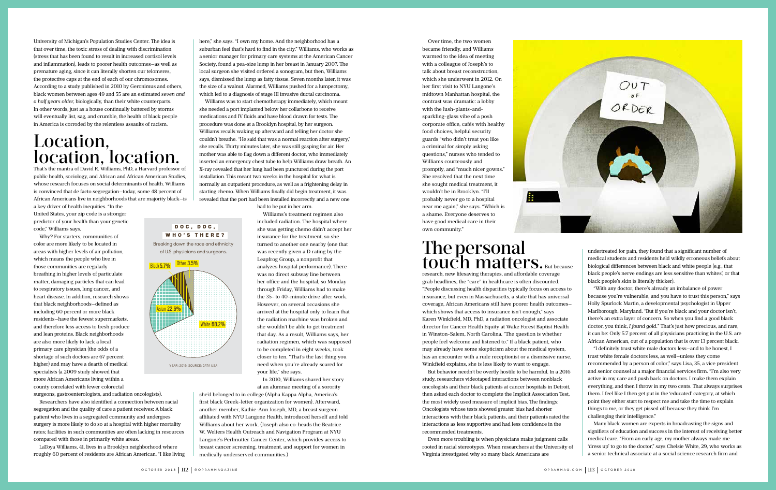University of Michigan's Population Studies Center. The idea is that over time, the toxic stress of dealing with discrimination (stress that has been found to result in increased cortisol levels and inflammation), leads to poorer health outcomes—as well as premature aging, since it can literally shorten our telomeres, the protective caps at the end of each of our chromosomes. According to a study published in 2010 by Geronimus and others, black women between ages 49 and 55 are an estimated *seven and a half years older,* biologically, than their white counterparts. In other words, just as a house continually battered by storms will eventually list, sag, and crumble, the health of black people in America is corroded by the relentless assaults of racism.

## Location, location, location.

That's the mantra of David R. Williams, PhD, a Harvard professor of public health, sociology, and African and African American Studies, whose research focuses on social determinants of health. Williams is convinced that de facto segregation—today, some 48 percent of African Americans live in neighborhoods that are majority black—is

a key driver of health inequities. "In the United States, your zip code is a stronger predictor of your health than your genetic code," Williams says.

Why? For starters, communities of color are more likely to be located in areas with higher levels of air pollution, which means the people who live in those communities are regularly breathing in higher levels of particulate matter, damaging particles that can lead to respiratory issues, lung cancer, and heart disease. In addition, research shows that black neighborhoods—defined as including 60 percent or more black residents—have the fewest supermarkets, and therefore less access to fresh produce and lean proteins. Black neighborhoods are also more likely to lack a local primary care physician (the odds of a shortage of such doctors are 67 percent higher) and may have a dearth of medical specialists (a 2009 study showed that more African Americans living within a county correlated with fewer colorectal surgeons, gastroenterologists, and radiation oncologists).

Researchers have also identified a connection between racial segregation and the quality of care a patient receives: A black patient who lives in a segregated community and undergoes surgery is more likely to do so at a hospital with higher mortality rates; facilities in such communities are often lacking in resources compared with those in primarily white areas.

LaToya Williams, 41, lives in a Brooklyn neighborhood where roughly 60 percent of residents are African American. "I like living here," she says. "I own my home. And the neighborhood has a suburban feel that's hard to find in the city." Williams, who works as a senior manager for primary care systems at the American Cancer Society, found a pea-size lump in her breast in January 2007. The local surgeon she visited ordered a sonogram, but then, Williams says, dismissed the lump as fatty tissue. Seven months later, it was the size of a walnut. Alarmed, Williams pushed for a lumpectomy, which led to a diagnosis of stage III invasive ductal carcinoma.

### The personal touch matters. But because

Williams was to start chemotherapy immediately, which meant she needed a port implanted below her collarbone to receive medications and IV fluids and have blood drawn for tests. The procedure was done at a Brooklyn hospital, by her surgeon. Williams recalls waking up afterward and telling her doctor she couldn't breathe. "He said that was a normal reaction after surgery," she recalls. Thirty minutes later, she was still gasping for air. Her mother was able to flag down a different doctor, who immediately inserted an emergency chest tube to help Williams draw breath. An X-ray revealed that her lung had been punctured during the port installation. This meant two weeks in the hospital for what is normally an outpatient procedure, as well as a frightening delay in starting chemo. When Williams finally did begin treatment, it was revealed that the port had been installed incorrectly and a new one

had to be put in her arm.

Williams's treatment regimen also included radiation. The hospital where she was getting chemo didn't accept her insurance for the treatment, so she turned to another one nearby (one that was recently given a D rating by the Leapfrog Group, a nonprofit that analyzes hospital performance). There was no direct subway line between her office and the hospital, so Monday through Friday, Williams had to make the 35- to 40-minute drive after work. However, on several occasions she arrived at the hospital only to learn that the radiation machine was broken and she wouldn't be able to get treatment that day. As a result, Williams says, her radiation regimen, which was supposed to be completed in eight weeks, took closer to ten. "That's the last thing you need when you're already scared for your life," she says.

In 2010, Williams shared her story at an alumnae meeting of a sorority

she'd belonged to in college (Alpha Kappa Alpha, America's first black Greek-letter organization for women). Afterward, another member, Kathie-Ann Joseph, MD, a breast surgeon affiliated with NYU Langone Health, introduced herself and told Williams about her work. (Joseph also co-heads the Beatrice W. Welters Health Outreach and Navigation Program at NYU Langone's Perlmutter Cancer Center, which provides access to breast cancer screening, treatment, and support for women in medically underserved communities.)

Over time, the two women

became friendly, and Williams warmed to the idea of meeting with a colleague of Joseph's to talk about breast reconstruction, which she underwent in 2012. On her first visit to NYU Langone's midtown Manhattan hospital, the contrast was dramatic: a lobby with the lush-plants-andsparkling-glass vibe of a posh corporate office, cafés with healthy food choices, helpful security guards "who didn't treat you like a criminal for simply asking questions," nurses who tended to Williams courteously and promptly, and "much nicer gowns." She resolved that the next time she sought medical treatment, it wouldn't be in Brooklyn. "I'll probably never go to a hospital near me again," she says. "Which is a shame. Everyone deserves to have good medical care in their own community."

research, new lifesaving therapies, and affordable coverage grab headlines, the "care" in healthcare is often discounted. "People discussing health disparities typically focus on access to insurance, but even in Massachusetts, a state that has universal coverage, African Americans still have poorer health outcomes which shows that access to insurance isn't enough," says Karen Winkfield, MD, PhD, a radiation oncologist and associate director for Cancer Health Equity at Wake Forest Baptist Health in Winston-Salem, North Carolina. "The question is whether people feel welcome and listened to." If a black patient, who may already have some skepticism about the medical system, has an encounter with a rude receptionist or a dismissive nurse, Winkfield explains, she is less likely to want to engage.

But behavior needn't be overtly hostile to be harmful. In a 2016 study, researchers videotaped interactions between nonblack oncologists and their black patients at cancer hospitals in Detroit, then asked each doctor to complete the Implicit Association Test, the most widely used measure of implicit bias. The findings: Oncologists whose tests showed greater bias had shorter interactions with their black patients, and their patients rated the interactions as less supportive and had less confidence in the recommended treatments.

Even more troubling is when physicians make judgment calls rooted in racial stereotypes. When researchers at the University of Virginia investigated why so many black Americans are

undertreated for pain, they found that a significant number of medical students and residents held wildly erroneous beliefs about biological differences between black and white people (e.g., that black people's nerve endings are less sensitive than whites', or that black people's skin is literally thicker).

"With any doctor, there's already an imbalance of power because you're vulnerable, and you have to trust this person," says Holly Spurlock Martin, a developmental psychologist in Upper Marlborough, Maryland. "But if you're black and your doctor isn't, there's an extra layer of concern. So when you find a good black doctor, you think, *I found gold.*" That's just how precious, and rare, it can be: Only 5.7 percent of all physicians practicing in the U.S. are African American, out of a population that is over 13 percent black.

"I definitely trust white male doctors less—and to be honest, I trust white female doctors less, as well—unless they come recommended by a person of color," says Lisa, 35, a vice president and senior counsel at a major financial services firm. "I'm also very active in my care and push back on doctors. I make them explain everything, and then I throw in my two cents. That always surprises them. I feel like I then get put in the 'educated' category, at which point they either start to respect me and take the time to explain things to me, or they get pissed off because they think I'm challenging their intelligence."

Many black women are experts in broadcasting the signs and signifiers of education and success in the interest of receiving better medical care. "From an early age, my mother always made me 'dress up' to go to the doctor," says Chelsie White, 29, who works as a senior technical associate at a social science research firm and

 DOC, DOC , WHO'S THERE? Breaking down the race and ethnicity of U.S. physicians and surgeons.

 $s$ ian 22.6 $^{\circ}$ 

 $B$ lack 5.7% Other 3.5%

White 68.2%



YEAR: 2016. SOURCE: DATA USA